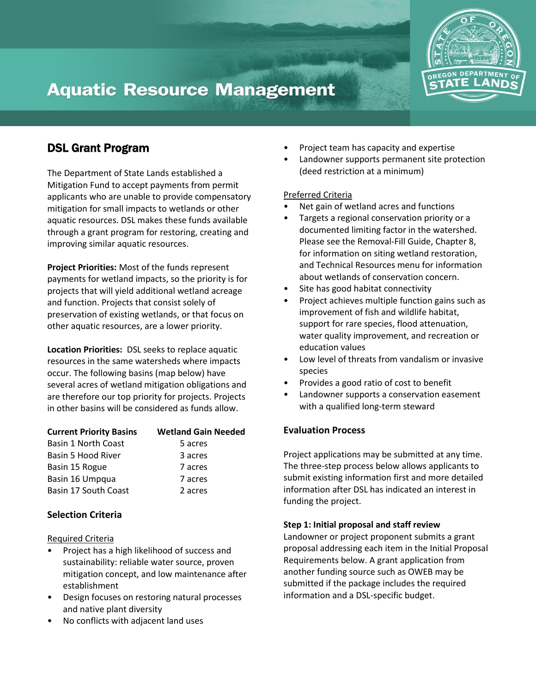

# **Aquatic Resource Management**

# DSL Grant Program

The Department of State Lands established a Mitigation Fund to accept payments from permit applicants who are unable to provide compensatory mitigation for small impacts to wetlands or other aquatic resources. DSL makes these funds available through a grant program for restoring, creating and improving similar aquatic resources.

**Project Priorities:** Most of the funds represent payments for wetland impacts, so the priority is for projects that will yield additional wetland acreage and function. Projects that consist solely of preservation of existing wetlands, or that focus on other aquatic resources, are a lower priority.

**Location Priorities:** DSL seeks to replace aquatic resources in the same watersheds where impacts occur. The following basins (map below) have several acres of wetland mitigation obligations and are therefore our top priority for projects. Projects in other basins will be considered as funds allow.

| <b>Current Priority Basins</b> | <b>Wetland Gain Needed</b> |
|--------------------------------|----------------------------|
| Basin 1 North Coast            | 5 acres                    |
| Basin 5 Hood River             | 3 acres                    |
| Basin 15 Rogue                 | 7 acres                    |
| Basin 16 Umpqua                | 7 acres                    |
| Basin 17 South Coast           | 2 acres                    |

## **Selection Criteria**

### Required Criteria

- Project has a high likelihood of success and sustainability: reliable water source, proven mitigation concept, and low maintenance after establishment
- Design focuses on restoring natural processes and native plant diversity
- No conflicts with adjacent land uses
- Project team has capacity and expertise
- Landowner supports permanent site protection (deed restriction at a minimum)

### Preferred Criteria

- Net gain of wetland acres and functions
- Targets a regional conservation priority or a documented limiting factor in the watershed. Please see the Removal-Fill Guide, Chapter 8, for information on siting wetland restoration, and Technical Resources menu for information about wetlands of conservation concern.
- Site has good habitat connectivity
- Project achieves multiple function gains such as improvement of fish and wildlife habitat, support for rare species, flood attenuation, water quality improvement, and recreation or education values
- Low level of threats from vandalism or invasive species
- Provides a good ratio of cost to benefit
- Landowner supports a conservation easement with a qualified long-term steward

### **Evaluation Process**

Project applications may be submitted at any time. The three-step process below allows applicants to submit existing information first and more detailed information after DSL has indicated an interest in funding the project.

### **Step 1: Initial proposal and staff review**

Landowner or project proponent submits a grant proposal addressing each item in the Initial Proposal Requirements below. A grant application from another funding source such as OWEB may be submitted if the package includes the required information and a DSL-specific budget.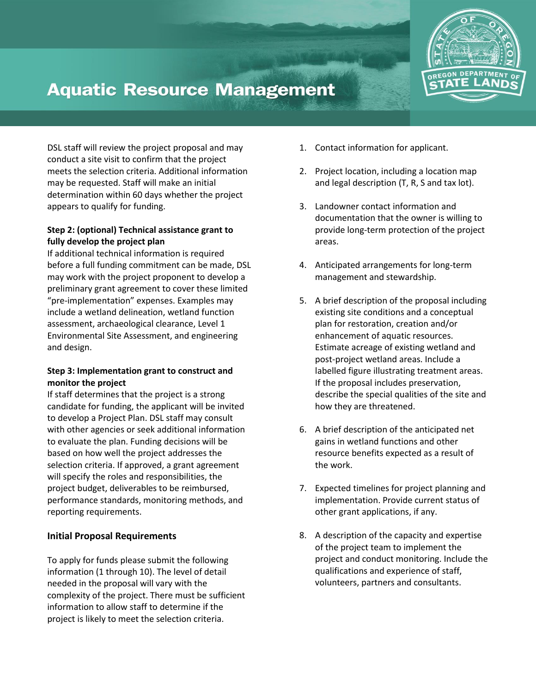

# **Aquatic Resource Management**

DSL staff will review the project proposal and may conduct a site visit to confirm that the project meets the selection criteria. Additional information may be requested. Staff will make an initial determination within 60 days whether the project appears to qualify for funding.

### **Step 2: (optional) Technical assistance grant to fully develop the project plan**

If additional technical information is required before a full funding commitment can be made, DSL may work with the project proponent to develop a preliminary grant agreement to cover these limited "pre-implementation" expenses. Examples may include a wetland delineation, wetland function assessment, archaeological clearance, Level 1 Environmental Site Assessment, and engineering and design.

### **Step 3: Implementation grant to construct and monitor the project**

If staff determines that the project is a strong candidate for funding, the applicant will be invited to develop a Project Plan. DSL staff may consult with other agencies or seek additional information to evaluate the plan. Funding decisions will be based on how well the project addresses the selection criteria. If approved, a grant agreement will specify the roles and responsibilities, the project budget, deliverables to be reimbursed, performance standards, monitoring methods, and reporting requirements.

## **Initial Proposal Requirements**

To apply for funds please submit the following information (1 through 10). The level of detail needed in the proposal will vary with the complexity of the project. There must be sufficient information to allow staff to determine if the project is likely to meet the selection criteria.

- 1. Contact information for applicant.
- 2. Project location, including a location map and legal description (T, R, S and tax lot).
- 3. Landowner contact information and documentation that the owner is willing to provide long-term protection of the project areas.
- 4. Anticipated arrangements for long-term management and stewardship.
- 5. A brief description of the proposal including existing site conditions and a conceptual plan for restoration, creation and/or enhancement of aquatic resources. Estimate acreage of existing wetland and post-project wetland areas. Include a labelled figure illustrating treatment areas. If the proposal includes preservation, describe the special qualities of the site and how they are threatened.
- 6. A brief description of the anticipated net gains in wetland functions and other resource benefits expected as a result of the work.
- 7. Expected timelines for project planning and implementation. Provide current status of other grant applications, if any.
- 8. A description of the capacity and expertise of the project team to implement the project and conduct monitoring. Include the qualifications and experience of staff, volunteers, partners and consultants.